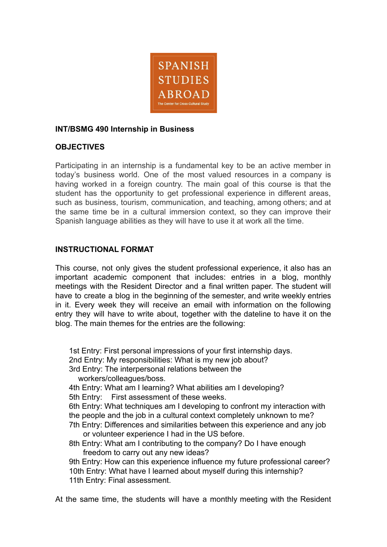

# **INT/BSMG 490 Internship in Business**

# **OBJECTIVES**

Participating in an internship is a fundamental key to be an active member in today's business world. One of the most valued resources in a company is having worked in a foreign country. The main goal of this course is that the student has the opportunity to get professional experience in different areas, such as business, tourism, communication, and teaching, among others; and at the same time be in a cultural immersion context, so they can improve their Spanish language abilities as they will have to use it at work all the time.

# **INSTRUCTIONAL FORMAT**

This course, not only gives the student professional experience, it also has an important academic component that includes: entries in a blog, monthly meetings with the Resident Director and a final written paper. The student will have to create a blog in the beginning of the semester, and write weekly entries in it. Every week they will receive an email with information on the following entry they will have to write about, together with the dateline to have it on the blog. The main themes for the entries are the following:

1st Entry: First personal impressions of your first internship days.

2nd Entry: My responsibilities: What is my new job about?

3rd Entry: The interpersonal relations between the workers/colleagues/boss.

- 4th Entry: What am I learning? What abilities am I developing?
- 5th Entry: First assessment of these weeks.

6th Entry: What techniques am I developing to confront my interaction with the people and the job in a cultural context completely unknown to me?

- 7th Entry: Differences and similarities between this experience and any job or volunteer experience I had in the US before.
- 8th Entry: What am I contributing to the company? Do I have enough freedom to carry out any new ideas?

9th Entry: How can this experience influence my future professional career? 10th Entry: What have I learned about myself during this internship? 11th Entry: Final assessment.

At the same time, the students will have a monthly meeting with the Resident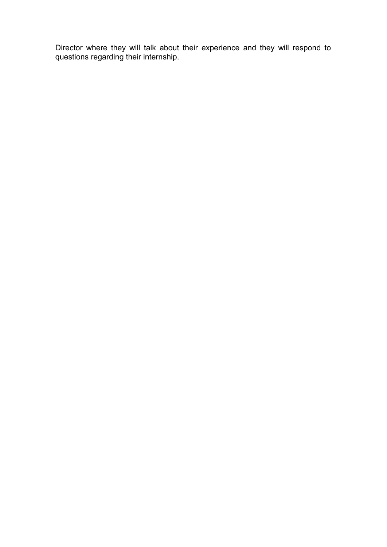Director where they will talk about their experience and they will respond to questions regarding their internship.